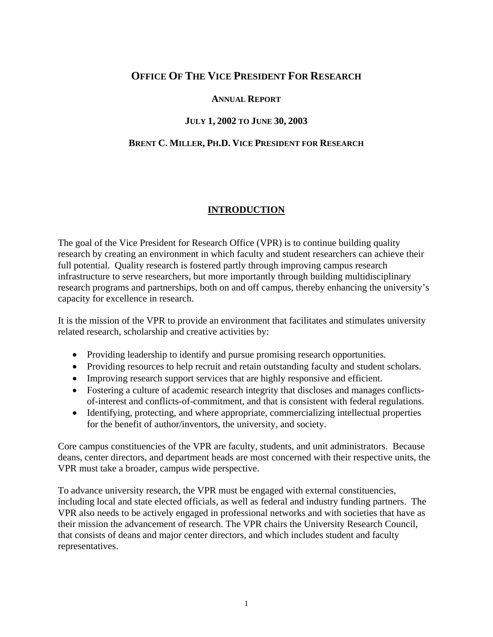## **OFFICE OF THE VICE PRESIDENT FOR RESEARCH**

### **ANNUAL REPORT**

### **JULY 1, 2002 TO JUNE 30, 2003**

#### **BRENT C. MILLER, PH.D. VICE PRESIDENT FOR RESEARCH**

### **INTRODUCTION**

The goal of the Vice President for Research Office (VPR) is to continue building quality research by creating an environment in which faculty and student researchers can achieve their full potential. Quality research is fostered partly through improving campus research infrastructure to serve researchers, but more importantly through building multidisciplinary research programs and partnerships, both on and off campus, thereby enhancing the university's capacity for excellence in research.

It is the mission of the VPR to provide an environment that facilitates and stimulates university related research, scholarship and creative activities by:

- Providing leadership to identify and pursue promising research opportunities.
- Providing resources to help recruit and retain outstanding faculty and student scholars.
- Improving research support services that are highly responsive and efficient.
- Fostering a culture of academic research integrity that discloses and manages conflictsof-interest and conflicts-of-commitment, and that is consistent with federal regulations.
- Identifying, protecting, and where appropriate, commercializing intellectual properties for the benefit of author/inventors, the university, and society.

Core campus constituencies of the VPR are faculty, students, and unit administrators. Because deans, center directors, and department heads are most concerned with their respective units, the VPR must take a broader, campus wide perspective.

To advance university research, the VPR must be engaged with external constituencies, including local and state elected officials, as well as federal and industry funding partners. The VPR also needs to be actively engaged in professional networks and with societies that have as their mission the advancement of research. The VPR chairs the University Research Council, that consists of deans and major center directors, and which includes student and faculty representatives.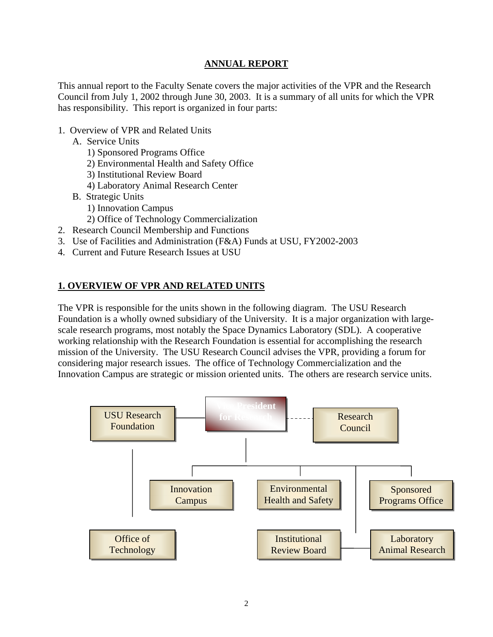### **ANNUAL REPORT**

This annual report to the Faculty Senate covers the major activities of the VPR and the Research Council from July 1, 2002 through June 30, 2003. It is a summary of all units for which the VPR has responsibility. This report is organized in four parts:

- 1. Overview of VPR and Related Units
	- A. Service Units
		- 1) Sponsored Programs Office
		- 2) Environmental Health and Safety Office
		- 3) Institutional Review Board
		- 4) Laboratory Animal Research Center
	- B. Strategic Units
		- 1) Innovation Campus
		- 2) Office of Technology Commercialization
- 2. Research Council Membership and Functions
- 3. Use of Facilities and Administration (F&A) Funds at USU, FY2002-2003
- 4. Current and Future Research Issues at USU

### **1. OVERVIEW OF VPR AND RELATED UNITS**

The VPR is responsible for the units shown in the following diagram. The USU Research Foundation is a wholly owned subsidiary of the University. It is a major organization with largescale research programs, most notably the Space Dynamics Laboratory (SDL). A cooperative working relationship with the Research Foundation is essential for accomplishing the research mission of the University. The USU Research Council advises the VPR, providing a forum for considering major research issues. The office of Technology Commercialization and the Innovation Campus are strategic or mission oriented units. The others are research service units.

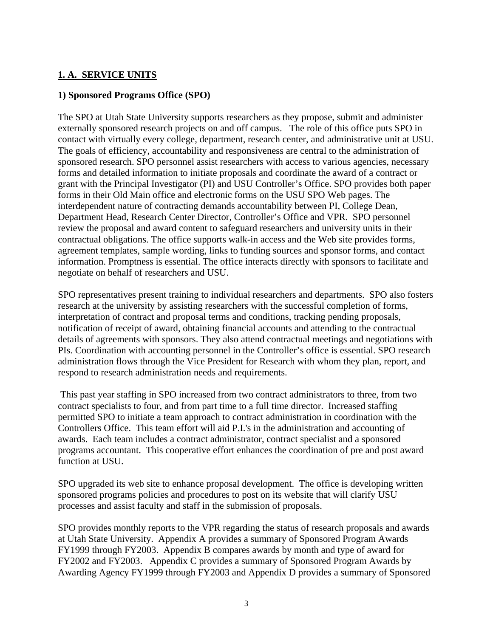### **1. A. SERVICE UNITS**

### **1) Sponsored Programs Office (SPO)**

The SPO at Utah State University supports researchers as they propose, submit and administer externally sponsored research projects on and off campus. The role of this office puts SPO in contact with virtually every college, department, research center, and administrative unit at USU. The goals of efficiency, accountability and responsiveness are central to the administration of sponsored research. SPO personnel assist researchers with access to various agencies, necessary forms and detailed information to initiate proposals and coordinate the award of a contract or grant with the Principal Investigator (PI) and USU Controller's Office. SPO provides both paper forms in their Old Main office and electronic forms on the USU SPO Web pages. The interdependent nature of contracting demands accountability between PI, College Dean, Department Head, Research Center Director, Controller's Office and VPR. SPO personnel review the proposal and award content to safeguard researchers and university units in their contractual obligations. The office supports walk-in access and the Web site provides forms, agreement templates, sample wording, links to funding sources and sponsor forms, and contact information. Promptness is essential. The office interacts directly with sponsors to facilitate and negotiate on behalf of researchers and USU.

SPO representatives present training to individual researchers and departments. SPO also fosters research at the university by assisting researchers with the successful completion of forms, interpretation of contract and proposal terms and conditions, tracking pending proposals, notification of receipt of award, obtaining financial accounts and attending to the contractual details of agreements with sponsors. They also attend contractual meetings and negotiations with PIs. Coordination with accounting personnel in the Controller's office is essential. SPO research administration flows through the Vice President for Research with whom they plan, report, and respond to research administration needs and requirements.

 This past year staffing in SPO increased from two contract administrators to three, from two contract specialists to four, and from part time to a full time director. Increased staffing permitted SPO to initiate a team approach to contract administration in coordination with the Controllers Office. This team effort will aid P.I.'s in the administration and accounting of awards. Each team includes a contract administrator, contract specialist and a sponsored programs accountant. This cooperative effort enhances the coordination of pre and post award function at USU.

SPO upgraded its web site to enhance proposal development. The office is developing written sponsored programs policies and procedures to post on its website that will clarify USU processes and assist faculty and staff in the submission of proposals.

SPO provides monthly reports to the VPR regarding the status of research proposals and awards at Utah State University. Appendix A provides a summary of Sponsored Program Awards FY1999 through FY2003. Appendix B compares awards by month and type of award for FY2002 and FY2003. Appendix C provides a summary of Sponsored Program Awards by Awarding Agency FY1999 through FY2003 and Appendix D provides a summary of Sponsored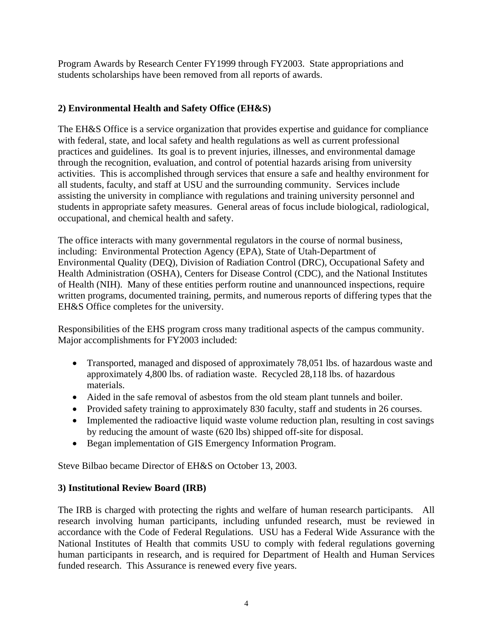Program Awards by Research Center FY1999 through FY2003. State appropriations and students scholarships have been removed from all reports of awards.

### **2) Environmental Health and Safety Office (EH&S)**

The EH&S Office is a service organization that provides expertise and guidance for compliance with federal, state, and local safety and health regulations as well as current professional practices and guidelines. Its goal is to prevent injuries, illnesses, and environmental damage through the recognition, evaluation, and control of potential hazards arising from university activities. This is accomplished through services that ensure a safe and healthy environment for all students, faculty, and staff at USU and the surrounding community. Services include assisting the university in compliance with regulations and training university personnel and students in appropriate safety measures. General areas of focus include biological, radiological, occupational, and chemical health and safety.

The office interacts with many governmental regulators in the course of normal business, including: Environmental Protection Agency (EPA), State of Utah-Department of Environmental Quality (DEQ), Division of Radiation Control (DRC), Occupational Safety and Health Administration (OSHA), Centers for Disease Control (CDC), and the National Institutes of Health (NIH). Many of these entities perform routine and unannounced inspections, require written programs, documented training, permits, and numerous reports of differing types that the EH&S Office completes for the university.

Responsibilities of the EHS program cross many traditional aspects of the campus community. Major accomplishments for FY2003 included:

- Transported, managed and disposed of approximately 78,051 lbs. of hazardous waste and approximately 4,800 lbs. of radiation waste. Recycled 28,118 lbs. of hazardous materials.
- Aided in the safe removal of asbestos from the old steam plant tunnels and boiler.
- Provided safety training to approximately 830 faculty, staff and students in 26 courses.
- Implemented the radioactive liquid waste volume reduction plan, resulting in cost savings by reducing the amount of waste (620 lbs) shipped off-site for disposal.
- Began implementation of GIS Emergency Information Program.

Steve Bilbao became Director of EH&S on October 13, 2003.

### **3) Institutional Review Board (IRB)**

The IRB is charged with protecting the rights and welfare of human research participants.All research involving human participants, including unfunded research, must be reviewed in accordance with the Code of Federal Regulations. USU has a Federal Wide Assurance with the National Institutes of Health that commits USU to comply with federal regulations governing human participants in research, and is required for Department of Health and Human Services funded research. This Assurance is renewed every five years.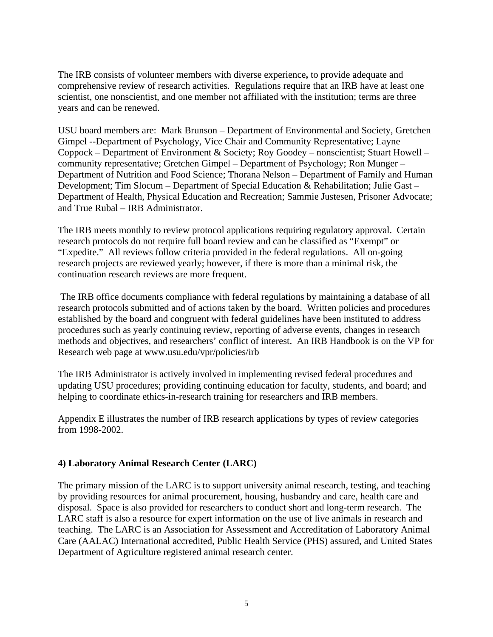The IRB consists of volunteer members with diverse experience**,** to provide adequate and comprehensive review of research activities. Regulations require that an IRB have at least one scientist, one nonscientist, and one member not affiliated with the institution; terms are three years and can be renewed.

USU board members are: Mark Brunson – Department of Environmental and Society, Gretchen Gimpel --Department of Psychology, Vice Chair and Community Representative; Layne Coppock – Department of Environment & Society; Roy Goodey – nonscientist; Stuart Howell – community representative; Gretchen Gimpel – Department of Psychology; Ron Munger – Department of Nutrition and Food Science; Thorana Nelson – Department of Family and Human Development; Tim Slocum – Department of Special Education & Rehabilitation; Julie Gast – Department of Health, Physical Education and Recreation; Sammie Justesen, Prisoner Advocate; and True Rubal – IRB Administrator.

The IRB meets monthly to review protocol applications requiring regulatory approval. Certain research protocols do not require full board review and can be classified as "Exempt" or "Expedite." All reviews follow criteria provided in the federal regulations. All on-going research projects are reviewed yearly; however, if there is more than a minimal risk, the continuation research reviews are more frequent.

 The IRB office documents compliance with federal regulations by maintaining a database of all research protocols submitted and of actions taken by the board. Written policies and procedures established by the board and congruent with federal guidelines have been instituted to address procedures such as yearly continuing review, reporting of adverse events, changes in research methods and objectives, and researchers' conflict of interest. An IRB Handbook is on the VP for Research web page at www.usu.edu/vpr/policies/irb

The IRB Administrator is actively involved in implementing revised federal procedures and updating USU procedures; providing continuing education for faculty, students, and board; and helping to coordinate ethics-in-research training for researchers and IRB members.

Appendix E illustrates the number of IRB research applications by types of review categories from 1998-2002.

### **4) Laboratory Animal Research Center (LARC)**

The primary mission of the LARC is to support university animal research, testing, and teaching by providing resources for animal procurement, housing, husbandry and care, health care and disposal. Space is also provided for researchers to conduct short and long-term research. The LARC staff is also a resource for expert information on the use of live animals in research and teaching. The LARC is an Association for Assessment and Accreditation of Laboratory Animal Care (AALAC) International accredited, Public Health Service (PHS) assured, and United States Department of Agriculture registered animal research center.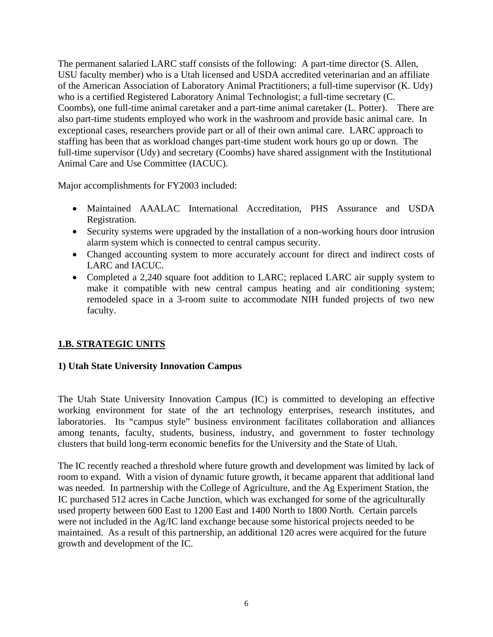The permanent salaried LARC staff consists of the following: A part-time director (S. Allen, USU faculty member) who is a Utah licensed and USDA accredited veterinarian and an affiliate of the American Association of Laboratory Animal Practitioners; a full-time supervisor (K. Udy) who is a certified Registered Laboratory Animal Technologist; a full-time secretary (C. Coombs), one full-time animal caretaker and a part-time animal caretaker (L. Potter). There are also part-time students employed who work in the washroom and provide basic animal care. In exceptional cases, researchers provide part or all of their own animal care. LARC approach to staffing has been that as workload changes part-time student work hours go up or down. The full-time supervisor (Udy) and secretary (Coombs) have shared assignment with the Institutional Animal Care and Use Committee (IACUC).

Major accomplishments for FY2003 included:

- Maintained AAALAC International Accreditation, PHS Assurance and USDA Registration.
- Security systems were upgraded by the installation of a non-working hours door intrusion alarm system which is connected to central campus security.
- Changed accounting system to more accurately account for direct and indirect costs of LARC and IACUC.
- Completed a 2,240 square foot addition to LARC; replaced LARC air supply system to make it compatible with new central campus heating and air conditioning system; remodeled space in a 3-room suite to accommodate NIH funded projects of two new faculty.

## **1.B. STRATEGIC UNITS**

### **1) Utah State University Innovation Campus**

The Utah State University Innovation Campus (IC) is committed to developing an effective working environment for state of the art technology enterprises, research institutes, and laboratories. Its "campus style" business environment facilitates collaboration and alliances among tenants, faculty, students, business, industry, and government to foster technology clusters that build long-term economic benefits for the University and the State of Utah.

The IC recently reached a threshold where future growth and development was limited by lack of room to expand. With a vision of dynamic future growth, it became apparent that additional land was needed. In partnership with the College of Agriculture, and the Ag Experiment Station, the IC purchased 512 acres in Cache Junction, which was exchanged for some of the agriculturally used property between 600 East to 1200 East and 1400 North to 1800 North. Certain parcels were not included in the Ag/IC land exchange because some historical projects needed to be maintained. As a result of this partnership, an additional 120 acres were acquired for the future growth and development of the IC.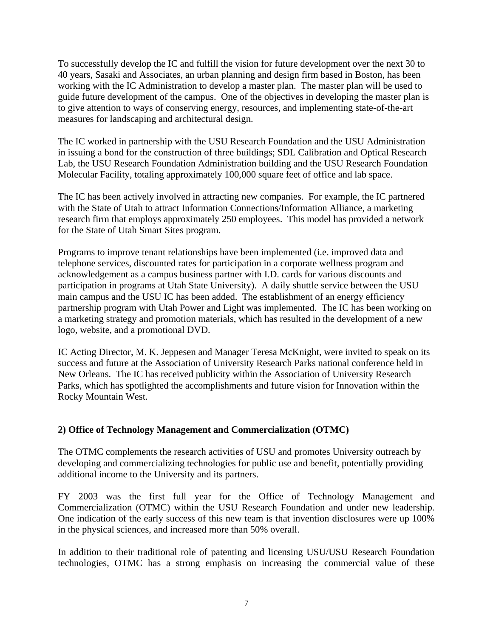To successfully develop the IC and fulfill the vision for future development over the next 30 to 40 years, Sasaki and Associates, an urban planning and design firm based in Boston, has been working with the IC Administration to develop a master plan. The master plan will be used to guide future development of the campus. One of the objectives in developing the master plan is to give attention to ways of conserving energy, resources, and implementing state-of-the-art measures for landscaping and architectural design.

The IC worked in partnership with the USU Research Foundation and the USU Administration in issuing a bond for the construction of three buildings; SDL Calibration and Optical Research Lab, the USU Research Foundation Administration building and the USU Research Foundation Molecular Facility, totaling approximately 100,000 square feet of office and lab space.

The IC has been actively involved in attracting new companies. For example, the IC partnered with the State of Utah to attract Information Connections/Information Alliance, a marketing research firm that employs approximately 250 employees. This model has provided a network for the State of Utah Smart Sites program.

Programs to improve tenant relationships have been implemented (i.e. improved data and telephone services, discounted rates for participation in a corporate wellness program and acknowledgement as a campus business partner with I.D. cards for various discounts and participation in programs at Utah State University). A daily shuttle service between the USU main campus and the USU IC has been added. The establishment of an energy efficiency partnership program with Utah Power and Light was implemented. The IC has been working on a marketing strategy and promotion materials, which has resulted in the development of a new logo, website, and a promotional DVD.

IC Acting Director, M. K. Jeppesen and Manager Teresa McKnight, were invited to speak on its success and future at the Association of University Research Parks national conference held in New Orleans. The IC has received publicity within the Association of University Research Parks, which has spotlighted the accomplishments and future vision for Innovation within the Rocky Mountain West.

#### **2) Office of Technology Management and Commercialization (OTMC)**

The OTMC complements the research activities of USU and promotes University outreach by developing and commercializing technologies for public use and benefit, potentially providing additional income to the University and its partners.

FY 2003 was the first full year for the Office of Technology Management and Commercialization (OTMC) within the USU Research Foundation and under new leadership. One indication of the early success of this new team is that invention disclosures were up 100% in the physical sciences, and increased more than 50% overall.

In addition to their traditional role of patenting and licensing USU/USU Research Foundation technologies, OTMC has a strong emphasis on increasing the commercial value of these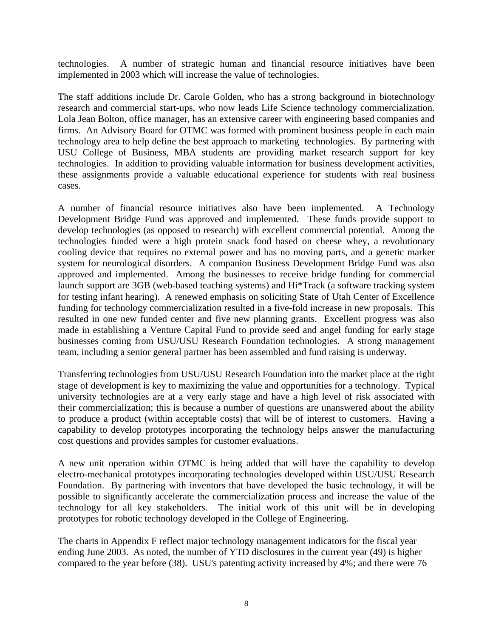technologies. A number of strategic human and financial resource initiatives have been implemented in 2003 which will increase the value of technologies.

The staff additions include Dr. Carole Golden, who has a strong background in biotechnology research and commercial start-ups, who now leads Life Science technology commercialization. Lola Jean Bolton, office manager, has an extensive career with engineering based companies and firms. An Advisory Board for OTMC was formed with prominent business people in each main technology area to help define the best approach to marketing technologies. By partnering with USU College of Business, MBA students are providing market research support for key technologies. In addition to providing valuable information for business development activities, these assignments provide a valuable educational experience for students with real business cases.

A number of financial resource initiatives also have been implemented. A Technology Development Bridge Fund was approved and implemented. These funds provide support to develop technologies (as opposed to research) with excellent commercial potential. Among the technologies funded were a high protein snack food based on cheese whey, a revolutionary cooling device that requires no external power and has no moving parts, and a genetic marker system for neurological disorders. A companion Business Development Bridge Fund was also approved and implemented. Among the businesses to receive bridge funding for commercial launch support are 3GB (web-based teaching systems) and Hi\*Track (a software tracking system for testing infant hearing). A renewed emphasis on soliciting State of Utah Center of Excellence funding for technology commercialization resulted in a five-fold increase in new proposals. This resulted in one new funded center and five new planning grants. Excellent progress was also made in establishing a Venture Capital Fund to provide seed and angel funding for early stage businesses coming from USU/USU Research Foundation technologies. A strong management team, including a senior general partner has been assembled and fund raising is underway.

Transferring technologies from USU/USU Research Foundation into the market place at the right stage of development is key to maximizing the value and opportunities for a technology. Typical university technologies are at a very early stage and have a high level of risk associated with their commercialization; this is because a number of questions are unanswered about the ability to produce a product (within acceptable costs) that will be of interest to customers. Having a capability to develop prototypes incorporating the technology helps answer the manufacturing cost questions and provides samples for customer evaluations.

A new unit operation within OTMC is being added that will have the capability to develop electro-mechanical prototypes incorporating technologies developed within USU/USU Research Foundation. By partnering with inventors that have developed the basic technology, it will be possible to significantly accelerate the commercialization process and increase the value of the technology for all key stakeholders. The initial work of this unit will be in developing prototypes for robotic technology developed in the College of Engineering.

The charts in Appendix F reflect major technology management indicators for the fiscal year ending June 2003. As noted, the number of YTD disclosures in the current year (49) is higher compared to the year before (38). USU's patenting activity increased by 4%; and there were 76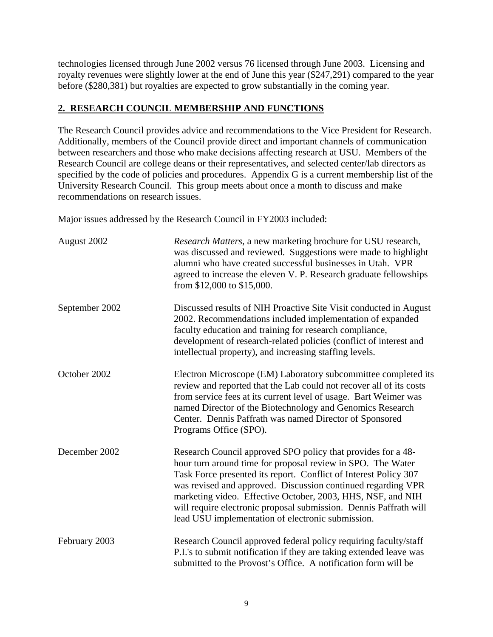technologies licensed through June 2002 versus 76 licensed through June 2003. Licensing and royalty revenues were slightly lower at the end of June this year (\$247,291) compared to the year before (\$280,381) but royalties are expected to grow substantially in the coming year.

### **2. RESEARCH COUNCIL MEMBERSHIP AND FUNCTIONS**

The Research Council provides advice and recommendations to the Vice President for Research. Additionally, members of the Council provide direct and important channels of communication between researchers and those who make decisions affecting research at USU. Members of the Research Council are college deans or their representatives, and selected center/lab directors as specified by the code of policies and procedures. Appendix G is a current membership list of the University Research Council. This group meets about once a month to discuss and make recommendations on research issues.

Major issues addressed by the Research Council in FY2003 included:

| August 2002    | Research Matters, a new marketing brochure for USU research,<br>was discussed and reviewed. Suggestions were made to highlight<br>alumni who have created successful businesses in Utah. VPR<br>agreed to increase the eleven V. P. Research graduate fellowships<br>from $$12,000$ to $$15,000$ .                                                                                                                                                       |
|----------------|----------------------------------------------------------------------------------------------------------------------------------------------------------------------------------------------------------------------------------------------------------------------------------------------------------------------------------------------------------------------------------------------------------------------------------------------------------|
| September 2002 | Discussed results of NIH Proactive Site Visit conducted in August<br>2002. Recommendations included implementation of expanded<br>faculty education and training for research compliance,<br>development of research-related policies (conflict of interest and<br>intellectual property), and increasing staffing levels.                                                                                                                               |
| October 2002   | Electron Microscope (EM) Laboratory subcommittee completed its<br>review and reported that the Lab could not recover all of its costs<br>from service fees at its current level of usage. Bart Weimer was<br>named Director of the Biotechnology and Genomics Research<br>Center. Dennis Paffrath was named Director of Sponsored<br>Programs Office (SPO).                                                                                              |
| December 2002  | Research Council approved SPO policy that provides for a 48-<br>hour turn around time for proposal review in SPO. The Water<br>Task Force presented its report. Conflict of Interest Policy 307<br>was revised and approved. Discussion continued regarding VPR<br>marketing video. Effective October, 2003, HHS, NSF, and NIH<br>will require electronic proposal submission. Dennis Paffrath will<br>lead USU implementation of electronic submission. |
| February 2003  | Research Council approved federal policy requiring faculty/staff<br>P.I.'s to submit notification if they are taking extended leave was<br>submitted to the Provost's Office. A notification form will be                                                                                                                                                                                                                                                |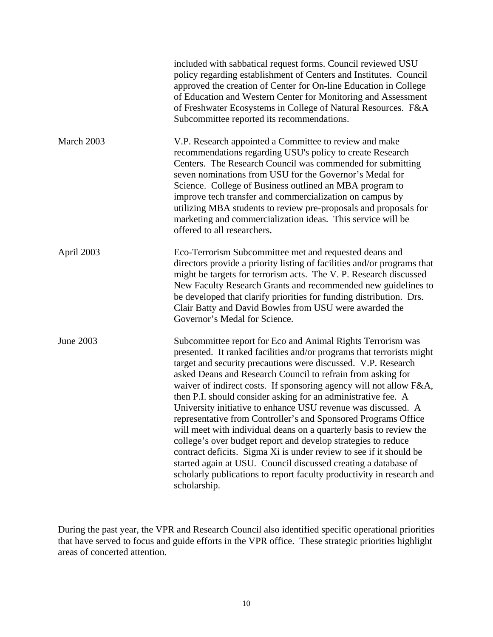|            | included with sabbatical request forms. Council reviewed USU<br>policy regarding establishment of Centers and Institutes. Council<br>approved the creation of Center for On-line Education in College<br>of Education and Western Center for Monitoring and Assessment<br>of Freshwater Ecosystems in College of Natural Resources. F&A<br>Subcommittee reported its recommendations.                                                                                                                                                                                                                                                                                                                                                                                                                                                                                                                                  |
|------------|------------------------------------------------------------------------------------------------------------------------------------------------------------------------------------------------------------------------------------------------------------------------------------------------------------------------------------------------------------------------------------------------------------------------------------------------------------------------------------------------------------------------------------------------------------------------------------------------------------------------------------------------------------------------------------------------------------------------------------------------------------------------------------------------------------------------------------------------------------------------------------------------------------------------|
| March 2003 | V.P. Research appointed a Committee to review and make<br>recommendations regarding USU's policy to create Research<br>Centers. The Research Council was commended for submitting<br>seven nominations from USU for the Governor's Medal for<br>Science. College of Business outlined an MBA program to<br>improve tech transfer and commercialization on campus by<br>utilizing MBA students to review pre-proposals and proposals for<br>marketing and commercialization ideas. This service will be<br>offered to all researchers.                                                                                                                                                                                                                                                                                                                                                                                  |
| April 2003 | Eco-Terrorism Subcommittee met and requested deans and<br>directors provide a priority listing of facilities and/or programs that<br>might be targets for terrorism acts. The V.P. Research discussed<br>New Faculty Research Grants and recommended new guidelines to<br>be developed that clarify priorities for funding distribution. Drs.<br>Clair Batty and David Bowles from USU were awarded the<br>Governor's Medal for Science.                                                                                                                                                                                                                                                                                                                                                                                                                                                                               |
| June 2003  | Subcommittee report for Eco and Animal Rights Terrorism was<br>presented. It ranked facilities and/or programs that terrorists might<br>target and security precautions were discussed. V.P. Research<br>asked Deans and Research Council to refrain from asking for<br>waiver of indirect costs. If sponsoring agency will not allow F&A,<br>then P.I. should consider asking for an administrative fee. A<br>University initiative to enhance USU revenue was discussed. A<br>representative from Controller's and Sponsored Programs Office<br>will meet with individual deans on a quarterly basis to review the<br>college's over budget report and develop strategies to reduce<br>contract deficits. Sigma Xi is under review to see if it should be<br>started again at USU. Council discussed creating a database of<br>scholarly publications to report faculty productivity in research and<br>scholarship. |

During the past year, the VPR and Research Council also identified specific operational priorities that have served to focus and guide efforts in the VPR office. These strategic priorities highlight areas of concerted attention.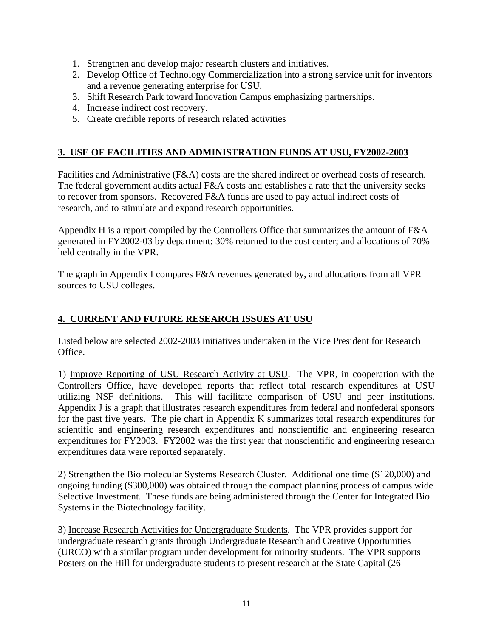- 1. Strengthen and develop major research clusters and initiatives.
- 2. Develop Office of Technology Commercialization into a strong service unit for inventors and a revenue generating enterprise for USU.
- 3. Shift Research Park toward Innovation Campus emphasizing partnerships.
- 4. Increase indirect cost recovery.
- 5. Create credible reports of research related activities

## **3. USE OF FACILITIES AND ADMINISTRATION FUNDS AT USU, FY2002-2003**

Facilities and Administrative (F&A) costs are the shared indirect or overhead costs of research. The federal government audits actual F&A costs and establishes a rate that the university seeks to recover from sponsors. Recovered F&A funds are used to pay actual indirect costs of research, and to stimulate and expand research opportunities.

Appendix H is a report compiled by the Controllers Office that summarizes the amount of F&A generated in FY2002-03 by department; 30% returned to the cost center; and allocations of 70% held centrally in the VPR.

The graph in Appendix I compares F&A revenues generated by, and allocations from all VPR sources to USU colleges.

## **4. CURRENT AND FUTURE RESEARCH ISSUES AT USU**

Listed below are selected 2002-2003 initiatives undertaken in the Vice President for Research Office.

1) Improve Reporting of USU Research Activity at USU. The VPR, in cooperation with the Controllers Office, have developed reports that reflect total research expenditures at USU utilizing NSF definitions. This will facilitate comparison of USU and peer institutions. Appendix J is a graph that illustrates research expenditures from federal and nonfederal sponsors for the past five years. The pie chart in Appendix K summarizes total research expenditures for scientific and engineering research expenditures and nonscientific and engineering research expenditures for FY2003. FY2002 was the first year that nonscientific and engineering research expenditures data were reported separately.

2) Strengthen the Bio molecular Systems Research Cluster. Additional one time (\$120,000) and ongoing funding (\$300,000) was obtained through the compact planning process of campus wide Selective Investment. These funds are being administered through the Center for Integrated Bio Systems in the Biotechnology facility.

3) Increase Research Activities for Undergraduate Students. The VPR provides support for undergraduate research grants through Undergraduate Research and Creative Opportunities (URCO) with a similar program under development for minority students. The VPR supports Posters on the Hill for undergraduate students to present research at the State Capital (26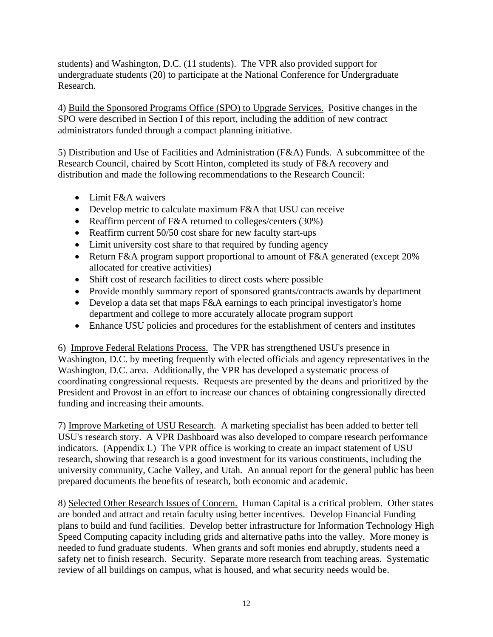students) and Washington, D.C. (11 students). The VPR also provided support for undergraduate students (20) to participate at the National Conference for Undergraduate Research.

4) Build the Sponsored Programs Office (SPO) to Upgrade Services. Positive changes in the SPO were described in Section I of this report, including the addition of new contract administrators funded through a compact planning initiative.

5) Distribution and Use of Facilities and Administration (F&A) Funds. A subcommittee of the Research Council, chaired by Scott Hinton, completed its study of F&A recovery and distribution and made the following recommendations to the Research Council:

- Limit F&A waivers
- Develop metric to calculate maximum F&A that USU can receive
- Reaffirm percent of F&A returned to colleges/centers (30%)
- Reaffirm current 50/50 cost share for new faculty start-ups
- Limit university cost share to that required by funding agency
- Return F&A program support proportional to amount of F&A generated (except 20%) allocated for creative activities)
- Shift cost of research facilities to direct costs where possible
- Provide monthly summary report of sponsored grants/contracts awards by department
- Develop a data set that maps F&A earnings to each principal investigator's home department and college to more accurately allocate program support
- Enhance USU policies and procedures for the establishment of centers and institutes

6)Improve Federal Relations Process. The VPR has strengthened USU's presence in Washington, D.C. by meeting frequently with elected officials and agency representatives in the Washington, D.C. area. Additionally, the VPR has developed a systematic process of coordinating congressional requests. Requests are presented by the deans and prioritized by the President and Provost in an effort to increase our chances of obtaining congressionally directed funding and increasing their amounts.

7) Improve Marketing of USU Research. A marketing specialist has been added to better tell USU's research story. A VPR Dashboard was also developed to compare research performance indicators. (Appendix L) The VPR office is working to create an impact statement of USU research, showing that research is a good investment for its various constituents, including the university community, Cache Valley, and Utah. An annual report for the general public has been prepared documents the benefits of research, both economic and academic.

8) Selected Other Research Issues of Concern. Human Capital is a critical problem. Other states are bonded and attract and retain faculty using better incentives. Develop Financial Funding plans to build and fund facilities. Develop better infrastructure for Information Technology High Speed Computing capacity including grids and alternative paths into the valley. More money is needed to fund graduate students. When grants and soft monies end abruptly, students need a safety net to finish research. Security. Separate more research from teaching areas. Systematic review of all buildings on campus, what is housed, and what security needs would be.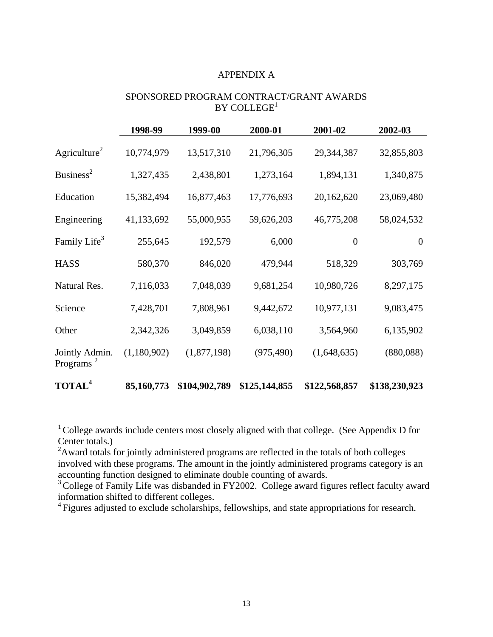#### APPENDIX A

#### SPONSORED PROGRAM CONTRACT/GRANT AWARDS  $BY$  COLLEGE<sup>1</sup>

|                                         | 1998-99     | 1999-00       | 2000-01       | 2001-02          | 2002-03        |
|-----------------------------------------|-------------|---------------|---------------|------------------|----------------|
| Agriculture <sup>2</sup>                | 10,774,979  | 13,517,310    | 21,796,305    | 29,344,387       | 32,855,803     |
| Business <sup>2</sup>                   | 1,327,435   | 2,438,801     | 1,273,164     | 1,894,131        | 1,340,875      |
| Education                               | 15,382,494  | 16,877,463    | 17,776,693    | 20,162,620       | 23,069,480     |
| Engineering                             | 41,133,692  | 55,000,955    | 59,626,203    | 46,775,208       | 58,024,532     |
| Family Life <sup>3</sup>                | 255,645     | 192,579       | 6,000         | $\boldsymbol{0}$ | $\overline{0}$ |
| <b>HASS</b>                             | 580,370     | 846,020       | 479,944       | 518,329          | 303,769        |
| Natural Res.                            | 7,116,033   | 7,048,039     | 9,681,254     | 10,980,726       | 8,297,175      |
| Science                                 | 7,428,701   | 7,808,961     | 9,442,672     | 10,977,131       | 9,083,475      |
| Other                                   | 2,342,326   | 3,049,859     | 6,038,110     | 3,564,960        | 6,135,902      |
| Jointly Admin.<br>Programs <sup>2</sup> | (1,180,902) | (1,877,198)   | (975, 490)    | (1,648,635)      | (880,088)      |
| <b>TOTAL<sup>4</sup></b>                | 85,160,773  | \$104,902,789 | \$125,144,855 | \$122,568,857    | \$138,230,923  |

<sup>1</sup> College awards include centers most closely aligned with that college. (See Appendix D for Center totals.)

 $2$ Award totals for jointly administered programs are reflected in the totals of both colleges involved with these programs. The amount in the jointly administered programs category is an accounting function designed to eliminate double counting of awards.

<sup>3</sup> College of Family Life was disbanded in FY2002. College award figures reflect faculty award information shifted to different colleges.

<sup>4</sup> Figures adjusted to exclude scholarships, fellowships, and state appropriations for research.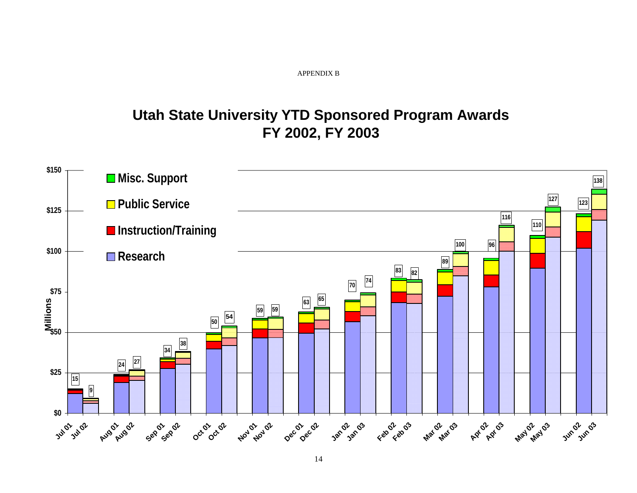#### APPENDIX B

# **Utah State University YTD Sponsored Program Awards FY 2002, FY 2003**

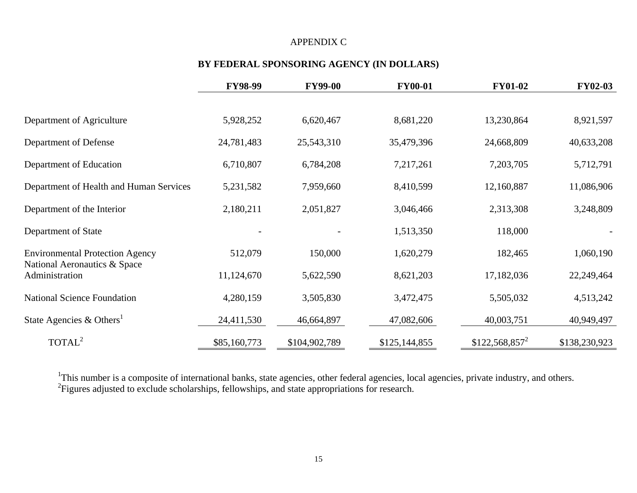#### APPENDIX C

## **BY FEDERAL SPONSORING AGENCY (IN DOLLARS)**

|                                                | <b>FY98-99</b> | <b>FY99-00</b> | <b>FY00-01</b> | <b>FY01-02</b>   | <b>FY02-03</b> |
|------------------------------------------------|----------------|----------------|----------------|------------------|----------------|
|                                                |                |                |                |                  |                |
| Department of Agriculture                      | 5,928,252      | 6,620,467      | 8,681,220      | 13,230,864       | 8,921,597      |
| Department of Defense                          | 24,781,483     | 25,543,310     | 35,479,396     | 24,668,809       | 40,633,208     |
| Department of Education                        | 6,710,807      | 6,784,208      | 7,217,261      | 7,203,705        | 5,712,791      |
| Department of Health and Human Services        | 5,231,582      | 7,959,660      | 8,410,599      | 12,160,887       | 11,086,906     |
| Department of the Interior                     | 2,180,211      | 2,051,827      | 3,046,466      | 2,313,308        | 3,248,809      |
| Department of State                            |                |                | 1,513,350      | 118,000          |                |
| <b>Environmental Protection Agency</b>         | 512,079        | 150,000        | 1,620,279      | 182,465          | 1,060,190      |
| National Aeronautics & Space<br>Administration | 11,124,670     | 5,622,590      | 8,621,203      | 17,182,036       | 22,249,464     |
| <b>National Science Foundation</b>             | 4,280,159      | 3,505,830      | 3,472,475      | 5,505,032        | 4,513,242      |
| State Agencies & Others <sup>1</sup>           | 24,411,530     | 46,664,897     | 47,082,606     | 40,003,751       | 40,949,497     |
| TOTAL <sup>2</sup>                             | \$85,160,773   | \$104,902,789  | \$125,144,855  | $$122,568,857^2$ | \$138,230,923  |

<sup>1</sup>This number is a composite of international banks, state agencies, other federal agencies, local agencies, private industry, and others.  ${}^{2}$ Figures adjusted to exclude scholarships, fellowships, and state appropriations for research.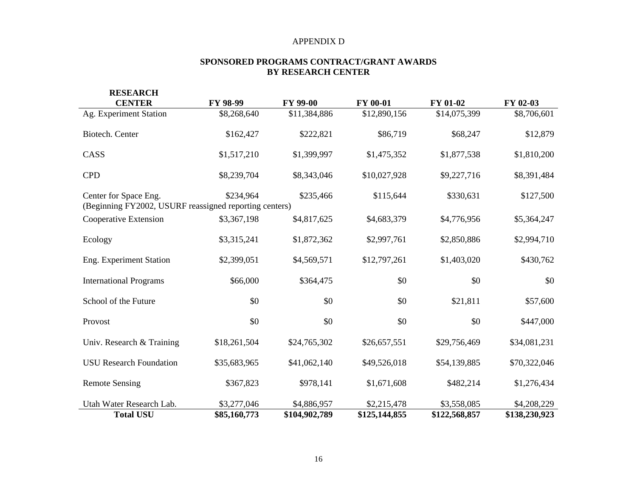#### APPENDIX D

#### **SPONSORED PROGRAMS CONTRACT/GRANT AWARDS BY RESEARCH CENTER**

| <b>RESEARCH</b>                                                                 |              |               |               |               |               |
|---------------------------------------------------------------------------------|--------------|---------------|---------------|---------------|---------------|
| <b>CENTER</b>                                                                   | FY 98-99     | FY 99-00      | FY 00-01      | FY 01-02      | FY 02-03      |
| Ag. Experiment Station                                                          | \$8,268,640  | \$11,384,886  | \$12,890,156  | \$14,075,399  | \$8,706,601   |
| Biotech. Center                                                                 | \$162,427    | \$222,821     | \$86,719      | \$68,247      | \$12,879      |
| CASS                                                                            | \$1,517,210  | \$1,399,997   | \$1,475,352   | \$1,877,538   | \$1,810,200   |
| <b>CPD</b>                                                                      | \$8,239,704  | \$8,343,046   | \$10,027,928  | \$9,227,716   | \$8,391,484   |
| Center for Space Eng.<br>(Beginning FY2002, USURF reassigned reporting centers) | \$234,964    | \$235,466     | \$115,644     | \$330,631     | \$127,500     |
|                                                                                 |              |               |               |               |               |
| Cooperative Extension                                                           | \$3,367,198  | \$4,817,625   | \$4,683,379   | \$4,776,956   | \$5,364,247   |
| Ecology                                                                         | \$3,315,241  | \$1,872,362   | \$2,997,761   | \$2,850,886   | \$2,994,710   |
| Eng. Experiment Station                                                         | \$2,399,051  | \$4,569,571   | \$12,797,261  | \$1,403,020   | \$430,762     |
| <b>International Programs</b>                                                   | \$66,000     | \$364,475     | \$0           | \$0           | \$0           |
| School of the Future                                                            | \$0          | \$0           | \$0           | \$21,811      | \$57,600      |
| Provost                                                                         | \$0          | \$0           | \$0           | \$0           | \$447,000     |
| Univ. Research & Training                                                       | \$18,261,504 | \$24,765,302  | \$26,657,551  | \$29,756,469  | \$34,081,231  |
| <b>USU Research Foundation</b>                                                  | \$35,683,965 | \$41,062,140  | \$49,526,018  | \$54,139,885  | \$70,322,046  |
| <b>Remote Sensing</b>                                                           | \$367,823    | \$978,141     | \$1,671,608   | \$482,214     | \$1,276,434   |
| Utah Water Research Lab.                                                        | \$3,277,046  | \$4,886,957   | \$2,215,478   | \$3,558,085   | \$4,208,229   |
| <b>Total USU</b>                                                                | \$85,160,773 | \$104,902,789 | \$125,144,855 | \$122,568,857 | \$138,230,923 |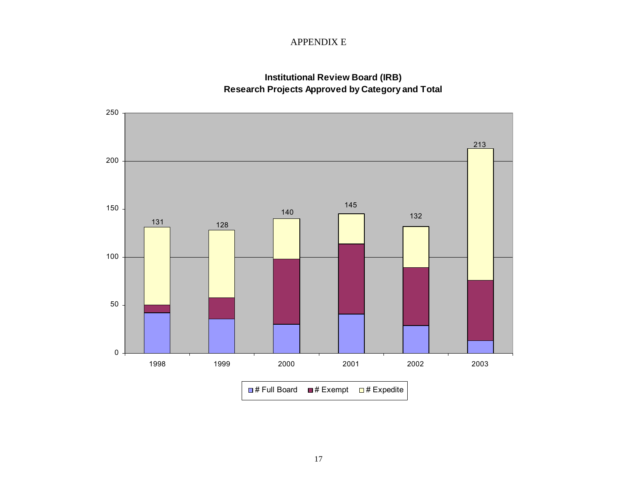#### APPENDIX E

### **Institutional Review Board (IRB) Research Projects Approved by Category and Total**

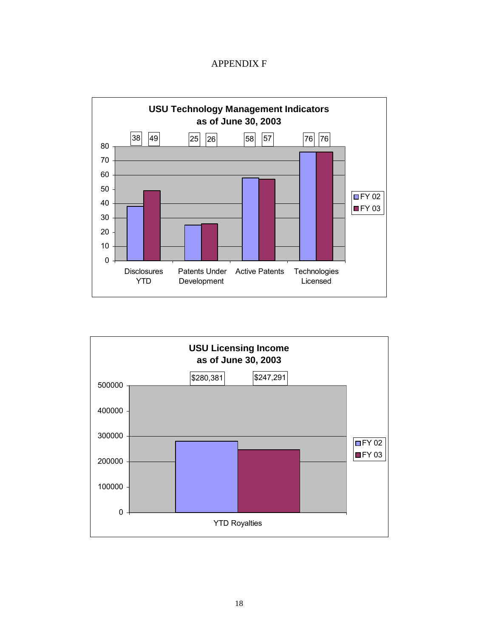### APPENDIX F



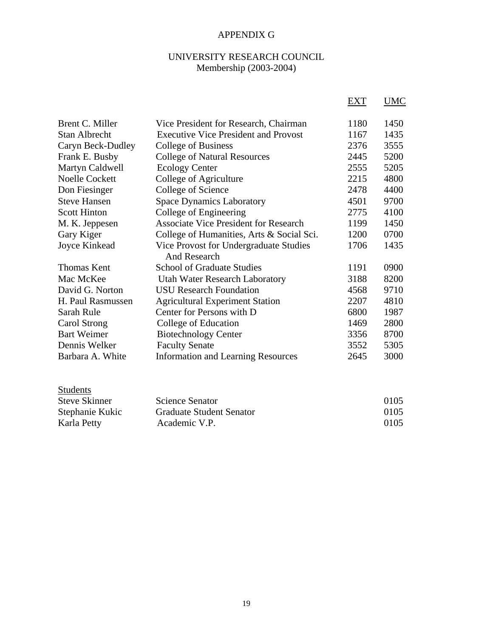## APPENDIX G

## UNIVERSITY RESEARCH COUNCIL Membership (2003-2004)

|                       |                                              | EXT  | <b>UMC</b> |
|-----------------------|----------------------------------------------|------|------------|
| Brent C. Miller       | Vice President for Research, Chairman        | 1180 | 1450       |
| <b>Stan Albrecht</b>  | <b>Executive Vice President and Provost</b>  | 1167 | 1435       |
| Caryn Beck-Dudley     | College of Business                          | 2376 | 3555       |
| Frank E. Busby        | <b>College of Natural Resources</b>          | 2445 | 5200       |
| Martyn Caldwell       | <b>Ecology Center</b>                        | 2555 | 5205       |
| <b>Noelle Cockett</b> | College of Agriculture                       | 2215 | 4800       |
| Don Fiesinger         | College of Science                           | 2478 | 4400       |
| <b>Steve Hansen</b>   | <b>Space Dynamics Laboratory</b>             | 4501 | 9700       |
| <b>Scott Hinton</b>   | College of Engineering                       | 2775 | 4100       |
| M. K. Jeppesen        | <b>Associate Vice President for Research</b> | 1199 | 1450       |
| Gary Kiger            | College of Humanities, Arts & Social Sci.    | 1200 | 0700       |
| Joyce Kinkead         | Vice Provost for Undergraduate Studies       | 1706 | 1435       |
|                       | And Research                                 |      |            |
| <b>Thomas Kent</b>    | <b>School of Graduate Studies</b>            | 1191 | 0900       |
| Mac McKee             | <b>Utah Water Research Laboratory</b>        | 3188 | 8200       |
| David G. Norton       | <b>USU</b> Research Foundation               | 4568 | 9710       |
| H. Paul Rasmussen     | <b>Agricultural Experiment Station</b>       | 2207 | 4810       |
| Sarah Rule            | Center for Persons with D                    | 6800 | 1987       |
| Carol Strong          | College of Education                         | 1469 | 2800       |
| <b>Bart Weimer</b>    | <b>Biotechnology Center</b>                  | 3356 | 8700       |
| Dennis Welker         | <b>Faculty Senate</b>                        | 3552 | 5305       |
| Barbara A. White      | <b>Information and Learning Resources</b>    | 2645 | 3000       |
|                       |                                              |      |            |
|                       |                                              |      |            |

| <b>Students</b>      |                                 |      |
|----------------------|---------------------------------|------|
| <b>Steve Skinner</b> | <b>Science Senator</b>          | 0105 |
| Stephanie Kukic      | <b>Graduate Student Senator</b> | 0105 |
| Karla Petty          | Academic V.P.                   | 0105 |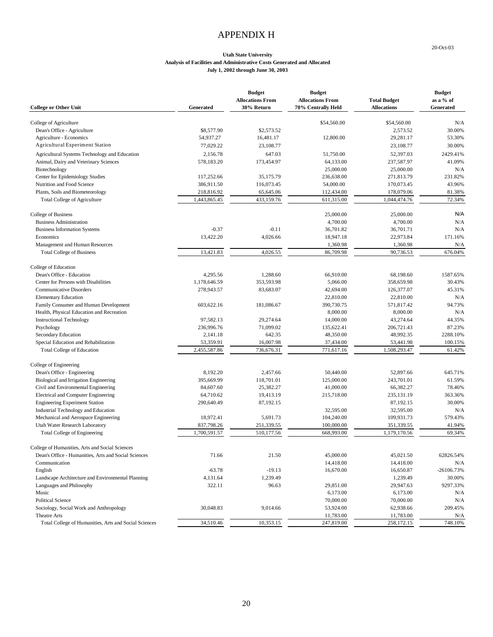### APPENDIX H

20-Oct-03

#### **Utah State University Analysis of Facilities and Administrative Costs Generated and Allocated July 1, 2002 through June 30, 2003**

| <b>College or Other Unit</b>                                                                            | Generated                  | <b>Budget</b><br><b>Allocations From</b><br>30% Return | <b>Budget</b><br><b>Allocations From</b><br>70% Centrally Held | <b>Total Budget</b><br><b>Allocations</b> | <b>Budget</b><br>as a % of<br>Generated |
|---------------------------------------------------------------------------------------------------------|----------------------------|--------------------------------------------------------|----------------------------------------------------------------|-------------------------------------------|-----------------------------------------|
| College of Agriculture                                                                                  |                            |                                                        | \$54,560.00                                                    | \$54,560.00                               | N/A                                     |
| Dean's Office - Agriculture                                                                             | \$8,577.90                 | \$2,573.52                                             |                                                                | 2,573.52                                  | 30.00%                                  |
| Agriculture - Economics                                                                                 | 54,937.27                  | 16,481.17                                              | 12,800.00                                                      | 29,281.17                                 | 53.30%                                  |
| Agricultural Experiment Station                                                                         | 77,029.22                  | 23,108.77                                              |                                                                | 23,108.77                                 | 30.00%                                  |
| Agricultural Systems Technology and Education                                                           | 2,156.78                   | 647.03                                                 | 51,750.00                                                      | 52,397.03                                 | 2429.41%                                |
| Animal, Dairy and Veterinary Sciences                                                                   | 578,183.20                 | 173,454.97                                             | 64,133.00                                                      | 237,587.97                                | 41.09%                                  |
| Biotechnology                                                                                           |                            |                                                        | 25,000.00                                                      | 25,000.00                                 | N/A                                     |
| Center for Epidemiology Studies                                                                         | 117,252.66                 | 35,175.79                                              | 236,638.00                                                     | 271,813.79                                | 231.82%                                 |
| Nutrition and Food Science                                                                              | 386,911.50                 | 116,073.45                                             | 54,000.00                                                      | 170,073.45                                | 43.96%                                  |
| Plants, Soils and Biometeorology                                                                        | 218,816.92                 | 65,645.06                                              | 112,434.00                                                     | 178,079.06                                | 81.38%                                  |
| Total College of Agriculture                                                                            | 1,443,865.45               | 433,159.76                                             | 611,315.00                                                     | 1,044,474.76                              | 72.34%                                  |
| College of Business                                                                                     |                            |                                                        | 25,000.00                                                      | 25,000.00                                 | N/A                                     |
| <b>Business Administration</b>                                                                          |                            |                                                        | 4,700.00                                                       | 4,700.00                                  | N/A                                     |
| <b>Business Information Systems</b>                                                                     | $-0.37$                    | $-0.11$                                                | 36,701.82                                                      | 36,701.71                                 | N/A                                     |
| Economics                                                                                               | 13,422.20                  | 4,026.66                                               | 18,947.18                                                      | 22,973.84                                 | 171.16%                                 |
| Management and Human Resources                                                                          |                            |                                                        | 1,360.98                                                       | 1,360.98                                  | N/A                                     |
| <b>Total College of Business</b>                                                                        | 13,421.83                  | 4,026.55                                               | 86,709.98                                                      | 90,736.53                                 | 676.04%                                 |
| College of Education                                                                                    |                            |                                                        |                                                                |                                           |                                         |
| Dean's Office - Education                                                                               | 4,295.56                   | 1,288.60                                               | 66,910.00                                                      | 68,198.60                                 | 1587.65%                                |
| Center for Persons with Disabilities                                                                    | 1,178,646.59               | 353,593.98                                             | 5,066.00                                                       | 358,659.98                                | 30.43%                                  |
| <b>Communicative Disorders</b>                                                                          | 278,943.57                 | 83,683.07                                              | 42,694.00                                                      | 126,377.07                                | 45.31%                                  |
| <b>Elementary Education</b>                                                                             |                            |                                                        | 22,810.00                                                      | 22,810.00                                 | N/A                                     |
| Family Consumer and Human Development                                                                   | 603,622.16                 | 181,086.67                                             | 390,730.75                                                     | 571,817.42                                | 94.73%                                  |
| Health, Physical Education and Recreation                                                               |                            |                                                        | 8,000.00                                                       | 8,000.00                                  | N/A                                     |
| <b>Instructional Technology</b>                                                                         | 97,582.13                  | 29,274.64                                              | 14,000.00                                                      | 43,274.64                                 | 44.35%                                  |
| Psychology                                                                                              | 236,996.76                 | 71,099.02                                              | 135,622.41                                                     | 206,721.43                                | 87.23%                                  |
| Secondary Education                                                                                     | 2,141.18                   | 642.35                                                 | 48,350.00                                                      | 48,992.35                                 | 2288.10%                                |
| Special Education and Rehabilitation                                                                    | 53,359.91                  | 16,007.98                                              | 37,434.00                                                      | 53,441.98                                 | 100.15%                                 |
| <b>Total College of Education</b>                                                                       | 2,455,587.86               | 736,676.31                                             | 771,617.16                                                     | 1,508,293.47                              | 61.42%                                  |
| College of Engineering                                                                                  |                            |                                                        |                                                                |                                           |                                         |
| Dean's Office - Engineering                                                                             | 8,192.20                   | 2,457.66                                               | 50,440.00                                                      | 52,897.66                                 | 645.71%                                 |
| Biological and Irrigation Engineering                                                                   | 395,669.99                 | 118,701.01                                             | 125,000.00                                                     | 243,701.01                                | 61.59%                                  |
| Civil and Environmental Engineering                                                                     | 84,607.60                  | 25,382.27                                              | 41,000.00                                                      | 66,382.27                                 | 78.46%                                  |
| Electrical and Computer Engineering                                                                     | 64,710.62                  | 19,413.19                                              | 215,718.00                                                     | 235,131.19                                | 363.36%                                 |
| <b>Engineering Experiment Station</b>                                                                   | 290,640.49                 | 87,192.15                                              |                                                                | 87,192.15                                 | 30.00%                                  |
| Industrial Technology and Education                                                                     |                            |                                                        | 32,595.00                                                      | 32,595.00                                 | N/A                                     |
| Mechanical and Aerospace Engineering                                                                    | 18,972.41                  | 5,691.73                                               | 104,240.00                                                     | 109,931.73                                | 579.43%                                 |
| Utah Water Research Laboratory<br><b>Total College of Engineering</b>                                   | 837,798.26<br>1,700,591.57 | 251,339.55<br>510,177.56                               | 100,000.00<br>668,993.00                                       | 351,339.55<br>1,179,170.56                | 41.94%<br>69.34%                        |
|                                                                                                         |                            |                                                        |                                                                |                                           |                                         |
| College of Humanities, Arts and Social Sciences<br>Dean's Office - Humanities, Arts and Social Sciences |                            |                                                        |                                                                |                                           |                                         |
| Communication                                                                                           | 71.66                      | 21.50                                                  | 45,000.00                                                      | 45,021.50                                 | 62826.54%                               |
| English                                                                                                 | $-63.78$                   | $-19.13$                                               | 14,418.00<br>16,670.00                                         | 14,418.00<br>16,650.87                    | N/A<br>$-26106.73%$                     |
| Landscape Architecture and Environmental Planning                                                       | 4,131.64                   | 1,239.49                                               |                                                                | 1,239.49                                  | 30.00%                                  |
| Languages and Philosophy                                                                                | 322.11                     | 96.63                                                  | 29,851.00                                                      | 29,947.63                                 | 9297.33%                                |
| Music                                                                                                   |                            |                                                        | 6,173.00                                                       | 6,173.00                                  | N/A                                     |
| <b>Political Science</b>                                                                                |                            |                                                        | 70,000.00                                                      | 70,000.00                                 | N/A                                     |
| Sociology, Social Work and Anthropology                                                                 | 30,048.83                  | 9,014.66                                               | 53,924.00                                                      | 62,938.66                                 | 209.45%                                 |
| Theatre Arts                                                                                            |                            |                                                        | 11,783.00                                                      | 11,783.00                                 | N/A                                     |
| Total College of Humanities, Arts and Social Sciences                                                   | 34,510.46                  | 10,353.15                                              | 247,819.00                                                     | 258,172.15                                | 748.10%                                 |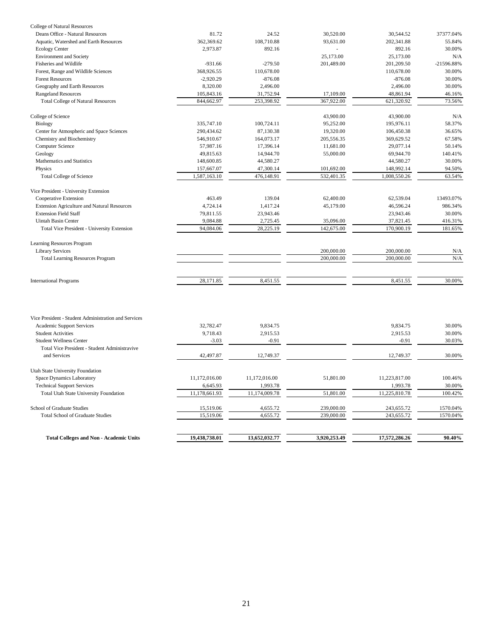| College of Natural Resources                |              |            |            |              |              |
|---------------------------------------------|--------------|------------|------------|--------------|--------------|
| Deans Office - Natural Resources            | 81.72        | 24.52      | 30,520.00  | 30,544.52    | 37377.04%    |
| Aquatic, Watershed and Earth Resources      | 362,369.62   | 108,710.88 | 93.631.00  | 202,341.88   | 55.84%       |
| <b>Ecology Center</b>                       | 2,973.87     | 892.16     |            | 892.16       | 30.00%       |
| <b>Environment</b> and Society              |              |            | 25,173.00  | 25,173.00    | N/A          |
| Fisheries and Wildlife                      | $-931.66$    | $-279.50$  | 201,489.00 | 201,209.50   | $-21596.88%$ |
| Forest, Range and Wildlife Sciences         | 368,926.55   | 110,678.00 |            | 110,678.00   | 30.00%       |
| <b>Forest Resources</b>                     | $-2.920.29$  | $-876.08$  |            | $-876.08$    | 30.00%       |
| Geography and Earth Resources               | 8,320.00     | 2,496.00   |            | 2,496.00     | 30.00%       |
| <b>Rangeland Resources</b>                  | 105,843.16   | 31,752.94  | 17,109.00  | 48,861.94    | 46.16%       |
| <b>Total College of Natural Resources</b>   | 844,662.97   | 253,398.92 | 367,922.00 | 621,320.92   | 73.56%       |
| College of Science                          |              |            | 43,900.00  | 43,900.00    | N/A          |
| Biology                                     | 335,747.10   | 100,724.11 | 95,252.00  | 195,976.11   | 58.37%       |
| Center for Atmospheric and Space Sciences   | 290,434.62   | 87,130.38  | 19,320.00  | 106,450.38   | 36.65%       |
| Chemistry and Biochemistry                  | 546,910.67   | 164,073.17 | 205,556.35 | 369,629.52   | 67.58%       |
| Computer Science                            | 57.987.16    | 17.396.14  | 11.681.00  | 29,077.14    | 50.14%       |
| Geology                                     | 49.815.63    | 14,944.70  | 55,000.00  | 69,944.70    | 140.41%      |
| Mathematics and Statistics                  | 148,600.85   | 44,580.27  |            | 44,580.27    | 30.00%       |
| Physics                                     | 157,667.07   | 47,300.14  | 101,692.00 | 148,992.14   | 94.50%       |
| <b>Total College of Science</b>             | 1,587,163.10 | 476,148.91 | 532,401.35 | 1,008,550.26 | 63.54%       |
| Vice President - University Extension       |              |            |            |              |              |
| Cooperative Extension                       | 463.49       | 139.04     | 62,400.00  | 62,539.04    | 13493.07%    |
| Extension Agriculture and Natural Resources | 4,724.14     | 1,417.24   | 45,179.00  | 46,596.24    | 986.34%      |
| <b>Extension Field Staff</b>                | 79,811.55    | 23,943.46  |            | 23,943.46    | 30.00%       |
| Uintah Basin Center                         | 9,084.88     | 2,725.45   | 35,096.00  | 37,821.45    | 416.31%      |
| Total Vice President - University Extension | 94,084.06    | 28,225.19  | 142,675.00 | 170,900.19   | 181.65%      |
| Learning Resources Program                  |              |            |            |              |              |
| <b>Library Services</b>                     |              |            | 200,000.00 | 200,000.00   | N/A          |
| <b>Total Learning Resources Program</b>     |              |            | 200,000.00 | 200,000.00   | N/A          |
| <b>International Programs</b>               | 28,171.85    | 8,451.55   |            | 8,451.55     | 30.00%       |
|                                             |              |            |            |              |              |

| <b>Total Colleges and Non - Academic Units</b>       | 19,438,738.01 | 13,652,032.77 | 3,920,253.49 | 17.572.286.26 | 90.40%   |
|------------------------------------------------------|---------------|---------------|--------------|---------------|----------|
|                                                      |               |               |              |               |          |
| <b>Total School of Graduate Studies</b>              | 15,519.06     | 4,655.72      | 239,000.00   | 243,655.72    | 1570.04% |
| School of Graduate Studies                           | 15,519.06     | 4,655.72      | 239,000.00   | 243,655.72    | 1570.04% |
| Total Utah State University Foundation               | 11,178,661.93 | 11,174,009.78 | 51,801.00    | 11,225,810.78 | 100.42%  |
| <b>Technical Support Services</b>                    | 6,645.93      | 1,993.78      |              | 1,993.78      | 30.00%   |
| Space Dynamics Laboratory                            | 11,172,016.00 | 11,172,016.00 | 51,801.00    | 11,223,817.00 | 100.46%  |
| Utah State University Foundation                     |               |               |              |               |          |
| and Services                                         | 42,497.87     | 12,749.37     |              | 12,749.37     | 30.00%   |
| Total Vice President - Student Administravive        |               |               |              |               |          |
| <b>Student Wellness Center</b>                       | $-3.03$       | $-0.91$       |              | $-0.91$       | 30.03%   |
| <b>Student Activities</b>                            | 9.718.43      | 2,915.53      |              | 2,915.53      | 30.00%   |
| Academic Support Services                            | 32,782.47     | 9.834.75      |              | 9.834.75      | 30.00%   |
| Vice President - Student Administration and Services |               |               |              |               |          |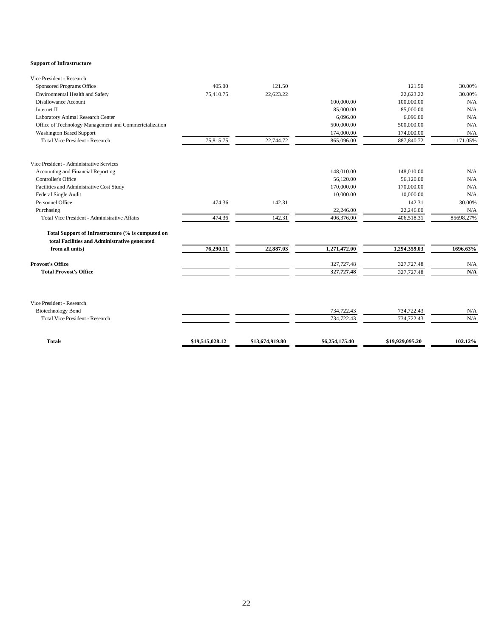#### **Support of Infrastructure**

| Vice President - Research                                                                          |                 |                 |                |                 |           |
|----------------------------------------------------------------------------------------------------|-----------------|-----------------|----------------|-----------------|-----------|
| Sponsored Programs Office                                                                          | 405.00          | 121.50          |                | 121.50          | 30.00%    |
| Environmental Health and Safety                                                                    | 75,410.75       | 22,623.22       |                | 22,623.22       | 30.00%    |
| Disallowance Account                                                                               |                 |                 | 100,000.00     | 100,000.00      | N/A       |
| Internet II                                                                                        |                 |                 | 85,000.00      | 85,000.00       | N/A       |
| Laboratory Animal Research Center                                                                  |                 |                 | 6,096.00       | 6,096.00        | N/A       |
| Office of Technology Management and Commericialization                                             |                 |                 | 500,000.00     | 500,000.00      | N/A       |
| <b>Washington Based Support</b>                                                                    |                 |                 | 174,000.00     | 174,000.00      | N/A       |
| <b>Total Vice President - Research</b>                                                             | 75,815.75       | 22,744.72       | 865,096.00     | 887,840.72      | 1171.05%  |
| Vice President - Administrative Services                                                           |                 |                 |                |                 |           |
| Accounting and Financial Reporting                                                                 |                 |                 | 148,010.00     | 148,010.00      | N/A       |
| Controller's Office                                                                                |                 |                 | 56,120.00      | 56,120.00       | N/A       |
| Facilities and Administrative Cost Study                                                           |                 |                 | 170,000.00     | 170,000.00      | N/A       |
| Federal Single Audit                                                                               |                 |                 | 10,000.00      | 10,000.00       | N/A       |
| Personnel Office                                                                                   | 474.36          | 142.31          |                | 142.31          | 30.00%    |
| Purchasing                                                                                         |                 |                 | 22,246.00      | 22,246.00       | N/A       |
| Total Vice President - Administrative Affairs                                                      | 474.36          | 142.31          | 406,376.00     | 406,518.31      | 85698.27% |
| Total Support of Infrastructure (% is computed on<br>total Facilities and Administrative generated |                 |                 |                |                 |           |
| from all units)                                                                                    | 76,290.11       | 22,887.03       | 1,271,472.00   | 1,294,359.03    | 1696.63%  |
| <b>Provost's Office</b>                                                                            |                 |                 | 327,727.48     | 327,727.48      | N/A       |
| <b>Total Provost's Office</b>                                                                      |                 |                 | 327,727.48     | 327,727.48      | N/A       |
| Vice President - Research                                                                          |                 |                 |                |                 |           |
| <b>Biotechnology Bond</b>                                                                          |                 |                 | 734,722.43     | 734,722.43      | N/A       |
| <b>Total Vice President - Research</b>                                                             |                 |                 | 734,722.43     | 734,722.43      | N/A       |
| <b>Totals</b>                                                                                      | \$19,515,028.12 | \$13,674,919.80 | \$6,254,175.40 | \$19,929,095.20 | 102.12%   |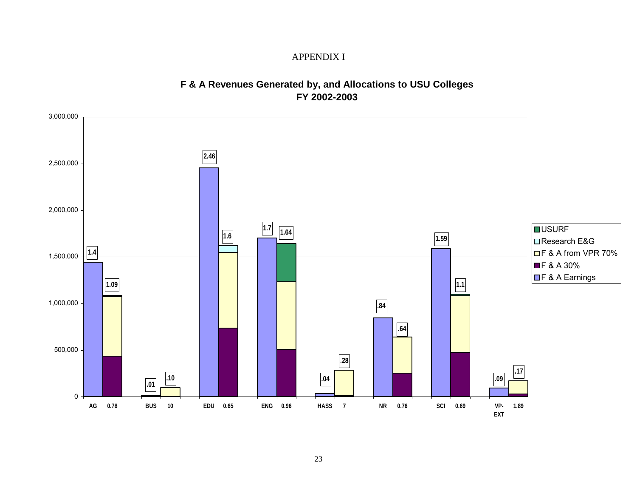### APPENDIX I

## **F & A Revenues Generated by, and Allocations to USU Colleges FY 2002-2003**

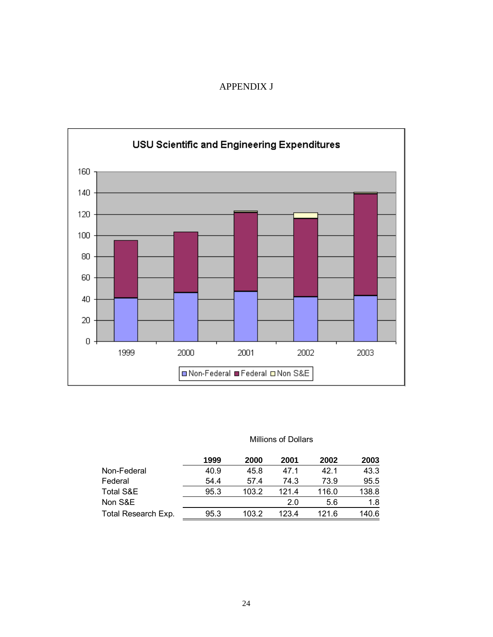### APPENDIX J



#### Millions of Dollars

|                     | 1999 | 2000  | 2001  | 2002  | 2003  |
|---------------------|------|-------|-------|-------|-------|
| Non-Federal         | 40.9 | 45.8  | 47.1  | 42.1  | 43.3  |
| Federal             | 54.4 | 57.4  | 74.3  | 73.9  | 95.5  |
| Total S&E           | 95.3 | 103.2 | 121.4 | 116.0 | 138.8 |
| Non S&E             |      |       | 2.0   | 5.6   | 1.8   |
| Total Research Exp. | 95.3 | 103.2 | 123.4 | 121.6 | 140.6 |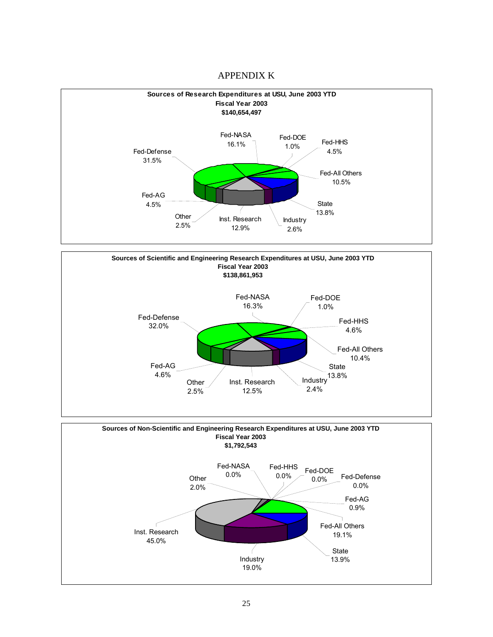